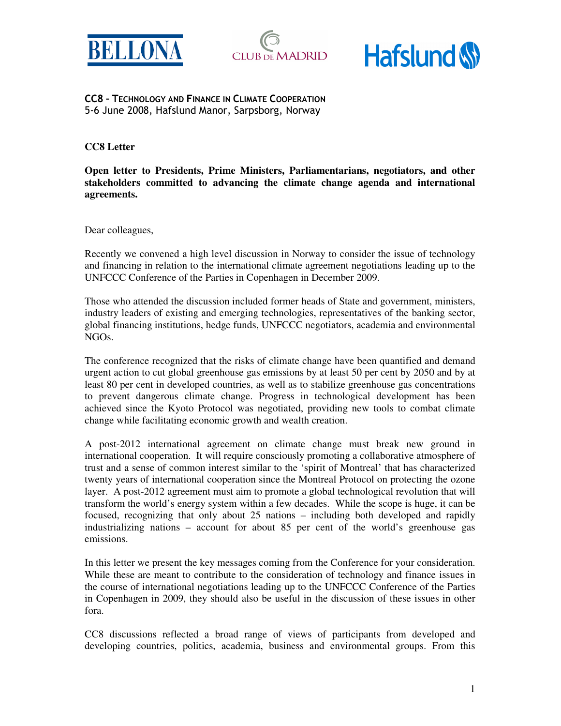





CC8 – TECHNOLOGY AND FINANCE IN CLIMATE COOPERATION 5-6 June 2008, Hafslund Manor, Sarpsborg, Norway

**CC8 Letter** 

**Open letter to Presidents, Prime Ministers, Parliamentarians, negotiators, and other stakeholders committed to advancing the climate change agenda and international agreements.** 

Dear colleagues,

Recently we convened a high level discussion in Norway to consider the issue of technology and financing in relation to the international climate agreement negotiations leading up to the UNFCCC Conference of the Parties in Copenhagen in December 2009.

Those who attended the discussion included former heads of State and government, ministers, industry leaders of existing and emerging technologies, representatives of the banking sector, global financing institutions, hedge funds, UNFCCC negotiators, academia and environmental NGOs.

The conference recognized that the risks of climate change have been quantified and demand urgent action to cut global greenhouse gas emissions by at least 50 per cent by 2050 and by at least 80 per cent in developed countries, as well as to stabilize greenhouse gas concentrations to prevent dangerous climate change. Progress in technological development has been achieved since the Kyoto Protocol was negotiated, providing new tools to combat climate change while facilitating economic growth and wealth creation.

A post-2012 international agreement on climate change must break new ground in international cooperation. It will require consciously promoting a collaborative atmosphere of trust and a sense of common interest similar to the 'spirit of Montreal' that has characterized twenty years of international cooperation since the Montreal Protocol on protecting the ozone layer. A post-2012 agreement must aim to promote a global technological revolution that will transform the world's energy system within a few decades. While the scope is huge, it can be focused, recognizing that only about 25 nations – including both developed and rapidly industrializing nations – account for about 85 per cent of the world's greenhouse gas emissions.

In this letter we present the key messages coming from the Conference for your consideration. While these are meant to contribute to the consideration of technology and finance issues in the course of international negotiations leading up to the UNFCCC Conference of the Parties in Copenhagen in 2009, they should also be useful in the discussion of these issues in other fora.

CC8 discussions reflected a broad range of views of participants from developed and developing countries, politics, academia, business and environmental groups. From this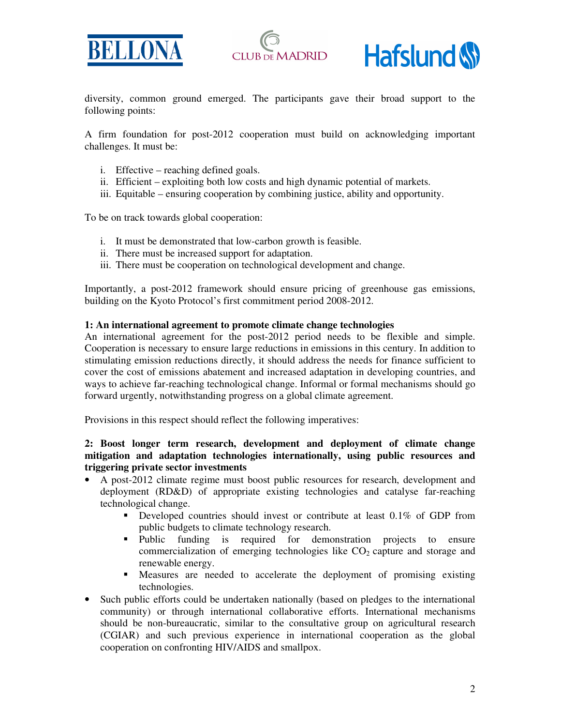





diversity, common ground emerged. The participants gave their broad support to the following points:

A firm foundation for post-2012 cooperation must build on acknowledging important challenges. It must be:

- i. Effective reaching defined goals.
- ii. Efficient exploiting both low costs and high dynamic potential of markets.
- iii. Equitable ensuring cooperation by combining justice, ability and opportunity.

To be on track towards global cooperation:

- i. It must be demonstrated that low-carbon growth is feasible.
- ii. There must be increased support for adaptation.
- iii. There must be cooperation on technological development and change.

Importantly, a post-2012 framework should ensure pricing of greenhouse gas emissions, building on the Kyoto Protocol's first commitment period 2008-2012.

#### **1: An international agreement to promote climate change technologies**

An international agreement for the post-2012 period needs to be flexible and simple. Cooperation is necessary to ensure large reductions in emissions in this century. In addition to stimulating emission reductions directly, it should address the needs for finance sufficient to cover the cost of emissions abatement and increased adaptation in developing countries, and ways to achieve far-reaching technological change. Informal or formal mechanisms should go forward urgently, notwithstanding progress on a global climate agreement.

Provisions in this respect should reflect the following imperatives:

# **2: Boost longer term research, development and deployment of climate change mitigation and adaptation technologies internationally, using public resources and triggering private sector investments**

- A post-2012 climate regime must boost public resources for research, development and deployment (RD&D) of appropriate existing technologies and catalyse far-reaching technological change.
	- Developed countries should invest or contribute at least 0.1% of GDP from public budgets to climate technology research.<br>• Public funding is required for demo
	- funding is required for demonstration projects to ensure commercialization of emerging technologies like  $CO<sub>2</sub>$  capture and storage and renewable energy.
	- Measures are needed to accelerate the deployment of promising existing technologies.
- Such public efforts could be undertaken nationally (based on pledges to the international community) or through international collaborative efforts. International mechanisms should be non-bureaucratic, similar to the consultative group on agricultural research (CGIAR) and such previous experience in international cooperation as the global cooperation on confronting HIV/AIDS and smallpox.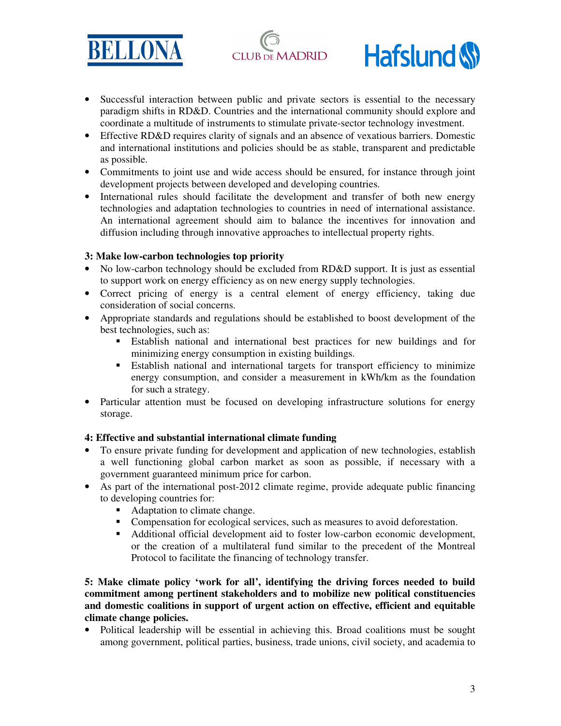





- Successful interaction between public and private sectors is essential to the necessary paradigm shifts in RD&D. Countries and the international community should explore and coordinate a multitude of instruments to stimulate private-sector technology investment.
- Effective RD&D requires clarity of signals and an absence of vexatious barriers. Domestic and international institutions and policies should be as stable, transparent and predictable as possible.
- Commitments to joint use and wide access should be ensured, for instance through joint development projects between developed and developing countries.
- International rules should facilitate the development and transfer of both new energy technologies and adaptation technologies to countries in need of international assistance. An international agreement should aim to balance the incentives for innovation and diffusion including through innovative approaches to intellectual property rights.

## **3: Make low-carbon technologies top priority**

- No low-carbon technology should be excluded from RD&D support. It is just as essential to support work on energy efficiency as on new energy supply technologies.
- Correct pricing of energy is a central element of energy efficiency, taking due consideration of social concerns.
- Appropriate standards and regulations should be established to boost development of the best technologies, such as:
	- Establish national and international best practices for new buildings and for minimizing energy consumption in existing buildings.
	- Establish national and international targets for transport efficiency to minimize energy consumption, and consider a measurement in kWh/km as the foundation for such a strategy.
- Particular attention must be focused on developing infrastructure solutions for energy storage.

## **4: Effective and substantial international climate funding**

- To ensure private funding for development and application of new technologies, establish a well functioning global carbon market as soon as possible, if necessary with a government guaranteed minimum price for carbon.
- As part of the international post-2012 climate regime, provide adequate public financing to developing countries for:
	- Adaptation to climate change.
	- Compensation for ecological services, such as measures to avoid deforestation.
	- Additional official development aid to foster low-carbon economic development, or the creation of a multilateral fund similar to the precedent of the Montreal Protocol to facilitate the financing of technology transfer.

**5: Make climate policy 'work for all', identifying the driving forces needed to build commitment among pertinent stakeholders and to mobilize new political constituencies and domestic coalitions in support of urgent action on effective, efficient and equitable climate change policies.** 

• Political leadership will be essential in achieving this. Broad coalitions must be sought among government, political parties, business, trade unions, civil society, and academia to